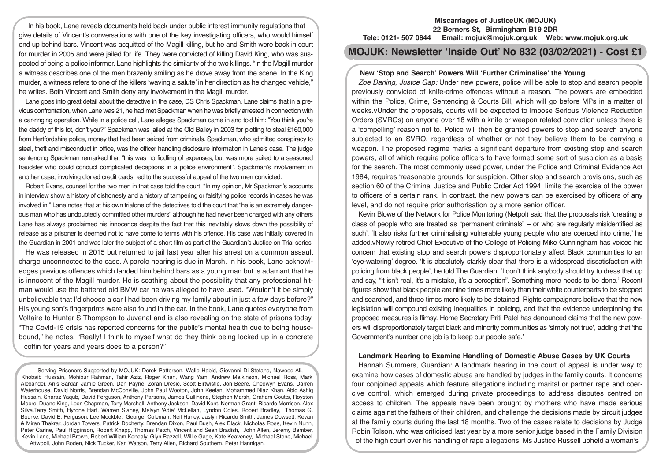In his book, Lane reveals documents held back under public interest immunity regulations that give details of Vincent's conversations with one of the key investigating officers, who would himself end up behind bars. Vincent was acquitted of the Magill killing, but he and Smith were back in court for murder in 2005 and were jailed for life. They were convicted of killing David King, who was suspected of being a police informer. Lane highlights the similarity of the two killings. "In the Magill murder a witness describes one of the men brazenly smiling as he drove away from the scene. In the King murder, a witness refers to one of the killers 'waving a salute' in her direction as he changed vehicle," he writes. Both Vincent and Smith deny any involvement in the Magill murder.

Lane goes into great detail about the detective in the case, DS Chris Spackman. Lane claims that in a previous confrontation, when Lane was 21, he had met Spackman when he was briefly arrested in connection with a car-ringing operation. While in a police cell, Lane alleges Spackman came in and told him: "You think you're the daddy of this lot, don't you?" Spackman was jailed at the Old Bailey in 2003 for plotting to steal £160,000 from Hertfordshire police, money that had been seized from criminals. Spackman, who admitted conspiracy to steal, theft and misconduct in office, was the officer handling disclosure information in Lane's case. The judge sentencing Spackman remarked that "this was no fiddling of expenses, but was more suited to a seasoned fraudster who could conduct complicated deceptions in a police environment". Spackman's involvement in another case, involving cloned credit cards, led to the successful appeal of the two men convicted.

Robert Evans, counsel for the two men in that case told the court: "In my opinion, Mr Spackman's accounts in interview show a history of dishonesty and a history of tampering or falsifying police records in cases he was involved in." Lane notes that at his own trialone of the detectives told the court that "he is an extremely dangerous man who has undoubtedly committed other murders" although he had never been charged with any others Lane has always proclaimed his innocence despite the fact that this inevitably slows down the possibility of release as a prisoner is deemed not to have come to terms with his offence. His case was initially covered in the Guardian in 2001 and was later the subject of a short film as part of the Guardian's Justice on Trial series.

He was released in 2015 but returned to jail last year after his arrest on a common assault charge unconnected to the case. A parole hearing is due in March. In his book, Lane acknowledges previous offences which landed him behind bars as a young man but is adamant that he is innocent of the Magill murder. He is scathing about the possibility that any professional hitman would use the battered old BMW car he was alleged to have used. "Wouldn't it be simply unbelievable that I'd choose a car I had been driving my family about in just a few days before?" His young son's fingerprints were also found in the car. In the book, Lane quotes everyone from Voltaire to Hunter S Thompson to Juvenal and is also revealing on the state of prisons today. "The Covid-19 crisis has reported concerns for the public's mental health due to being housebound," he notes. "Really! I think to myself what do they think being locked up in a concrete coffin for years and years does to a person?"

Serving Prisoners Supported by MOJUK: Derek Patterson, Walib Habid, Giovanni Di Stefano, Naweed Ali, Khobaib Hussain, Mohibur Rahman, Tahir Aziz, Roger Khan, Wang Yam, Andrew Malkinson, Michael Ross, Mark Alexander, Anis Sardar, Jamie Green, Dan Payne, Zoran Dresic, Scott Birtwistle, Jon Beere, Chedwyn Evans, Darren Waterhouse, David Norris, Brendan McConville, John Paul Wooton, John Keelan, Mohammed Niaz Khan, Abid Ashiq Hussain, Sharaz Yaqub, David Ferguson, Anthony Parsons, James Cullinene, Stephen Marsh, Graham Coutts, Royston Moore, Duane King, Leon Chapman, Tony Marshall, Anthony Jackson, David Kent, Norman Grant, Ricardo Morrison, Alex Silva,Terry Smith, Hyrone Hart, Warren Slaney, Melvyn 'Adie' McLellan, Lyndon Coles, Robert Bradley, Thomas G. Bourke, David E. Ferguson, Lee Mockble, George Coleman, Neil Hurley, Jaslyn Ricardo Smith, James Dowsett, Kevan & Miran Thakrar, Jordan Towers, Patrick Docherty, Brendan Dixon, Paul Bush, Alex Black, Nicholas Rose, Kevin Nunn, Peter Carine, Paul Higginson, Robert Knapp, Thomas Petch, Vincent and Sean Bradish, John Allen, Jeremy Bamber, Kevin Lane, Michael Brown, Robert William Kenealy, Glyn Razzell, Willie Gage, Kate Keaveney, Michael Stone, Michael Attwooll, John Roden, Nick Tucker, Karl Watson, Terry Allen, Richard Southern, Peter Hannigan.

### **Miscarriages of JusticeUK (MOJUK) 22 Berners St, Birmingham B19 2DR Tele: 0121- 507 0844 Email: mojuk@mojuk.org.uk Web: www.mojuk.org.uk**

# **MOJUK: Newsletter 'Inside Out' No 832 (03/02/2021) - Cost £1**

# **New 'Stop and Search' Powers Will 'Further Criminalise' the Young**

*Zoe Darling, Justce Gap:* Under new powers, police will be able to stop and search people previously convicted of knife-crime offences without a reason. The powers are embedded within the Police, Crime, Sentencing & Courts Bill, which will go before MPs in a matter of weeks.vUnder the proposals, courts will be expected to impose Serious Violence Reduction Orders (SVROs) on anyone over 18 with a knife or weapon related conviction unless there is a 'compelling' reason not to. Police will then be granted powers to stop and search anyone subjected to an SVRO, regardless of whether or not they believe them to be carrying a weapon. The proposed regime marks a significant departure from existing stop and search powers, all of which require police officers to have formed some sort of suspicion as a basis for the search. The most commonly used power, under the Police and Criminal Evidence Act 1984, requires 'reasonable grounds' for suspicion. Other stop and search provisions, such as section 60 of the Criminal Justice and Public Order Act 1994, limits the exercise of the power to officers of a certain rank. In contrast, the new powers can be exercised by officers of any level, and do not require prior authorisation by a more senior officer.

Kevin Blowe of the Network for Police Monitoring (Netpol) said that the proposals risk 'creating a class of people who are treated as "permanent criminals" – or who are regularly misidentified as such'. 'It also risks further criminalising vulnerable young people who are coerced into crime,' he added.vNewly retired Chief Executive of the College of Policing Mike Cunningham has voiced his concern that existing stop and search powers disproportionately affect Black communities to an 'eye-watering' degree. 'It is absolutely starkly clear that there is a widespread dissatisfaction with policing from black people', he told The Guardian. 'I don't think anybody should try to dress that up and say, "it isn't real, it's a mistake, it's a perception". Something more needs to be done.' Recent figures show that black people are nine times more likely than their white counterparts to be stopped and searched, and three times more likely to be detained. Rights campaigners believe that the new legislation will compound existing inequalities in policing, and that the evidence underpinning the proposed measures is flimsy. Home Secretary Priti Patel has denounced claims that the new powers will disproportionately target black and minority communities as 'simply not true', adding that 'the Government's number one job is to keep our people safe.'

# **Landmark Hearing to Examine Handling of Domestic Abuse Cases by UK Courts**

Hannah Summers, Guardian: A landmark hearing in the court of appeal is under way to examine how cases of domestic abuse are handled by judges in the family courts. It concerns four conjoined appeals which feature allegations including marital or partner rape and coercive control, which emerged during private proceedings to address disputes centred on access to children. The appeals have been brought by mothers who have made serious claims against the fathers of their children, and challenge the decisions made by circuit judges at the family courts during the last 18 months. Two of the cases relate to decisions by Judge Robin Tolson, who was criticised last year by a more senior judge based in the Family Division of the high court over his handling of rape allegations. Ms Justice Russell upheld a woman's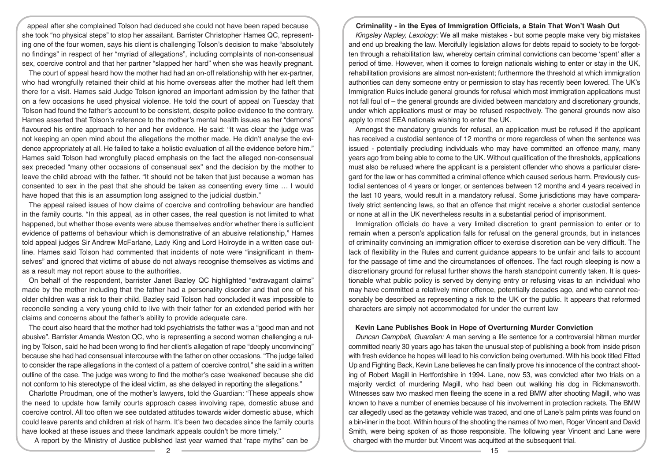appeal after she complained Tolson had deduced she could not have been raped because she took "no physical steps" to stop her assailant. Barrister Christopher Hames QC, representing one of the four women, says his client is challenging Tolson's decision to make "absolutely no findings" in respect of her "myriad of allegations", including complaints of non-consensual sex, coercive control and that her partner "slapped her hard" when she was heavily pregnant.

The court of appeal heard how the mother had had an on-off relationship with her ex-partner, who had wrongfully retained their child at his home overseas after the mother had left them there for a visit. Hames said Judge Tolson ignored an important admission by the father that on a few occasions he used physical violence. He told the court of appeal on Tuesday that Tolson had found the father's account to be consistent, despite police evidence to the contrary. Hames asserted that Tolson's reference to the mother's mental health issues as her "demons" flavoured his entire approach to her and her evidence. He said: "It was clear the judge was not keeping an open mind about the allegations the mother made. He didn't analyse the evidence appropriately at all. He failed to take a holistic evaluation of all the evidence before him." Hames said Tolson had wrongfully placed emphasis on the fact the alleged non-consensual sex preceded "many other occasions of consensual sex" and the decision by the mother to leave the child abroad with the father. "It should not be taken that just because a woman has consented to sex in the past that she should be taken as consenting every time … I would have hoped that this is an assumption long assigned to the judicial dustbin."

The appeal raised issues of how claims of coercive and controlling behaviour are handled in the family courts. "In this appeal, as in other cases, the real question is not limited to what happened, but whether those events were abuse themselves and/or whether there is sufficient evidence of patterns of behaviour which is demonstrative of an abusive relationship," Hames told appeal judges Sir Andrew McFarlane, Lady King and Lord Holroyde in a written case outline. Hames said Tolson had commented that incidents of note were "insignificant in themselves" and ignored that victims of abuse do not always recognise themselves as victims and as a result may not report abuse to the authorities.

On behalf of the respondent, barrister Janet Bazley QC highlighted "extravagant claims" made by the mother including that the father had a personality disorder and that one of his older children was a risk to their child. Bazley said Tolson had concluded it was impossible to reconcile sending a very young child to live with their father for an extended period with her claims and concerns about the father's ability to provide adequate care.

The court also heard that the mother had told psychiatrists the father was a "good man and not abusive". Barrister Amanda Weston QC, who is representing a second woman challenging a ruling by Tolson, said he had been wrong to find her client's allegation of rape "deeply unconvincing" because she had had consensual intercourse with the father on other occasions. "The judge failed to consider the rape allegations in the context of a pattern of coercive control," she said in a written outline of the case. The judge was wrong to find the mother's case 'weakened' because she did not conform to his stereotype of the ideal victim, as she delayed in reporting the allegations."

Charlotte Proudman, one of the mother's lawyers, told the Guardian: "These appeals show the need to update how family courts approach cases involving rape, domestic abuse and coercive control. All too often we see outdated attitudes towards wider domestic abuse, which could leave parents and children at risk of harm. It's been two decades since the family courts have looked at these issues and these landmark appeals couldn't be more timely."

A report by the Ministry of Justice published last year warned that "rape myths" can be

#### **Criminality - in the Eyes of Immigration Officials, a Stain That Won't Wash Out**

*Kingsley Napley, Lexology:* We all make mistakes - but some people make very big mistakes and end up breaking the law. Mercifully legislation allows for debts repaid to society to be forgotten through a rehabilitation law, whereby certain criminal convictions can become 'spent' after a period of time. However, when it comes to foreign nationals wishing to enter or stay in the UK, rehabilitation provisions are almost non-existent; furthermore the threshold at which immigration authorities can deny someone entry or permission to stay has recently been lowered. The UK's Immigration Rules include general grounds for refusal which most immigration applications must not fall foul of – the general grounds are divided between mandatory and discretionary grounds, under which applications must or may be refused respectively. The general grounds now also apply to most EEA nationals wishing to enter the UK.

Amongst the mandatory grounds for refusal, an application must be refused if the applicant has received a custodial sentence of 12 months or more regardless of when the sentence was issued - potentially precluding individuals who may have committed an offence many, many years ago from being able to come to the UK. Without qualification of the thresholds, applications must also be refused where the applicant is a persistent offender who shows a particular disregard for the law or has committed a criminal offence which caused serious harm. Previously custodial sentences of 4 years or longer, or sentences between 12 months and 4 years received in the last 10 years, would result in a mandatory refusal. Some jurisdictions may have comparatively strict sentencing laws, so that an offence that might receive a shorter custodial sentence or none at all in the UK nevertheless results in a substantial period of imprisonment.

Immigration officials do have a very limited discretion to grant permission to enter or to remain when a person's application falls for refusal on the general grounds, but in instances of criminality convincing an immigration officer to exercise discretion can be very difficult. The lack of flexibility in the Rules and current guidance appears to be unfair and fails to account for the passage of time and the circumstances of offences. The fact rough sleeping is now a discretionary ground for refusal further shows the harsh standpoint currently taken. It is questionable what public policy is served by denying entry or refusing visas to an individual who may have committed a relatively minor offence, potentially decades ago, and who cannot reasonably be described as representing a risk to the UK or the public. It appears that reformed characters are simply not accommodated for under the current law

#### **Kevin Lane Publishes Book in Hope of Overturning Murder Conviction**

*Duncan Campbell, Guardian:* A man serving a life sentence for a controversial hitman murder committed nearly 30 years ago has taken the unusual step of publishing a book from inside prison with fresh evidence he hopes will lead to his conviction being overturned. With his book titled Fitted Up and Fighting Back, Kevin Lane believes he can finally prove his innocence of the contract shooting of Robert Magill in Hertfordshire in 1994. Lane, now 53, was convicted after two trials on a majority verdict of murdering Magill, who had been out walking his dog in Rickmansworth. Witnesses saw two masked men fleeing the scene in a red BMW after shooting Magill, who was known to have a number of enemies because of his involvement in protection rackets. The BMW car allegedly used as the getaway vehicle was traced, and one of Lane's palm prints was found on a bin-liner in the boot. Within hours of the shooting the names of two men, Roger Vincent and David Smith, were being spoken of as those responsible. The following year Vincent and Lane were charged with the murder but Vincent was acquitted at the subsequent trial.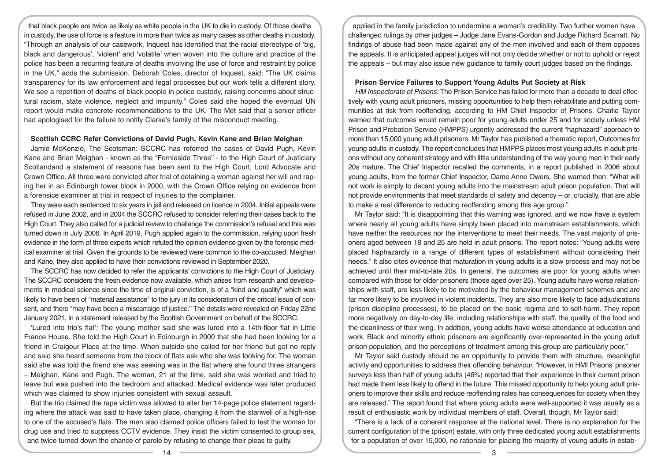that black people are twice as likely as white people in the UK to die in custody. Of those deaths in custody, the use of force is a feature in more than twice as many cases as other deaths in custody. "Through an analysis of our casework, Inquest has identified that the racial stereotype of 'big, black and dangerous', 'violent' and 'volatile' when woven into the culture and practice of the police has been a recurring feature of deaths involving the use of force and restraint by police in the UK," adds the submission. Deborah Coles, director of Inquest, said: "The UK claims transparency for its law enforcement and legal processes but our work tells a different story. We see a repetition of deaths of black people in police custody, raising concerns about structural racism, state violence, neglect and impunity." Coles said she hoped the eventual UN report would make concrete recommendations to the UK. The Met said that a senior officer had apologised for the failure to notify Clarke's family of the misconduct meeting.

# **Scottish CCRC Refer Convictions of David Pugh, Kevin Kane and Brian Meighan**

Jamie McKenzie, The Scotsman: SCCRC has referred the cases of David Pugh, Kevin Kane and Brian Meighan - known as the "Fernieside Three" - to the High Court of Justiciary Scotlandand a statement of reasons has been sent to the High Court, Lord Advocate and Crown Office. All three were convicted after trial of detaining a woman against her will and raping her in an Edinburgh tower block in 2000, with the Crown Office relying on evidence from a forensice examiner at trial in respect of injuries to the complainer.

They were each sentenced to six years in jail and released on licence in 2004. Initial appeals were refused in June 2002, and in 2004 the SCCRC refused to consider referring their cases back to the High Court. They also called for a judicial review to challenge the commission's refusal and this was turned down in July 2006. In April 2019, Pugh applied again to the commission, relying upon fresh evidence in the form of three experts which refuted the opinion evidence given by the forensic medical examiner at trial. Given the grounds to be reviewed were common to the co-accused, Meighan and Kane, they also applied to have their convictions reviewed in September 2020.

The SCCRC has now decided to refer the applicants' convictions to the High Court of Justiciary. The SCCRC considers the fresh evidence now available, which arises from research and developments in medical science since the time of original conviction, is of a "kind and quality" which was likely to have been of "material assistance" to the jury in its consideration of the critical issue of consent, and there "may have been a miscarraige of justice." The details were revealed on Friday 22nd January 2021, in a statement released by the Scottish Government on behalf of the SCCRC.

'Lured into trio's flat': The young mother said she was lured into a 14th-floor flat in Little France House. She told the High Court in Edinburgh in 2000 that she had been looking for a friend in Craigour Place at the time. When outside she called for her friend but got no reply and said she heard someone from the block of flats ask who she was looking for. The woman said she was told the friend she was seeking was in the flat where she found three strangers – Meighan, Kane and Pugh. The woman, 21 at the time, said she was worried and tried to leave but was pushed into the bedroom and attacked. Medical evidence was later produced which was claimed to show injuries consistent with sexual assault.

But the trio claimed the rape victim was allowed to alter her 14-page police statement regarding where the attack was said to have taken place, changing it from the stariwell of a high-rise to one of the accused's flats. The men also claimed police officers failed to test the woman for drug use and tried to suppress CCTV evidence. They insist the victim consented to group sex, and twice turned down the chance of parole by refusing to change their pleas to guilty.

applied in the family jurisdiction to undermine a woman's credibility. Two further women have challenged rulings by other judges – Judge Jane Evans-Gordon and Judge Richard Scarratt. No findings of abuse had been made against any of the men involved and each of them opposes the appeals. It is anticipated appeal judges will not only decide whether or not to uphold or reject the appeals – but may also issue new guidance to family court judges based on the findings.

# **Prison Service Failures to Support Young Adults Put Society at Risk**

*HM Inspectorate of Prisons:* The Prison Service has failed for more than a decade to deal effectively with young adult prisoners, missing opportunities to help them rehabilitate and putting communities at risk from reoffending, according to HM Chief Inspector of Prisons. Charlie Taylor warned that outcomes would remain poor for young adults under 25 and for society unless HM Prison and Probation Service (HMPPS) urgently addressed the current "haphazard" approach to more than 15,000 young adult prisoners. Mr Taylor has published a thematic report, Outcomes for young adults in custody. The report concludes that HMPPS places most young adults in adult prisons without any coherent strategy and with little understanding of the way young men in their early 20s mature. The Chief Inspector recalled the comments, in a report published in 2006 about young adults, from the former Chief Inspector, Dame Anne Owers. She warned then: "What will not work is simply to decant young adults into the mainstream adult prison population. That will not provide environments that meet standards of safety and decency – or, crucially, that are able to make a real difference to reducing reoffending among this age group."

Mr Taylor said: "It is disappointing that this warning was ignored, and we now have a system where nearly all young adults have simply been placed into mainstream establishments, which have neither the resources nor the interventions to meet their needs. The vast majority of prisoners aged between 18 and 25 are held in adult prisons. The report notes: "Young adults were placed haphazardly in a range of different types of establishment without considering their needs." It also cites evidence that maturation in young adults is a slow process and may not be achieved until their mid-to-late 20s. In general, the outcomes are poor for young adults when compared with those for older prisoners (those aged over 25). Young adults have worse relationships with staff, are less likely to be motivated by the behaviour management schemes and are far more likely to be involved in violent incidents. They are also more likely to face adjudications (prison discipline processes), to be placed on the basic regime and to self-harm. They report more negatively on day-to-day life, including relationships with staff, the quality of the food and the cleanliness of their wing. In addition, young adults have worse attendance at education and work. Black and minority ethnic prisoners are significantly over-represented in the young adult prison population, and the perceptions of treatment among this group are particularly poor."

Mr Taylor said custody should be an opportunity to provide them with structure, meaningful activity and opportunities to address their offending behaviour. "However, in HMI Prisons' prisoner surveys less than half of young adults (46%) reported that their experience in their current prison had made them less likely to offend in the future. This missed opportunity to help young adult prisoners to improve their skills and reduce reoffending rates has consequences for society when they are released." The report found that where young adults were well-supported it was usually as a result of enthusiastic work by individual members of staff. Overall, though, Mr Taylor said:

"There is a lack of a coherent response at the national level. There is no explanation for the current configuration of the (prison) estate, with only three dedicated young adult establishments for a population of over 15,000, no rationale for placing the majority of young adults in estab-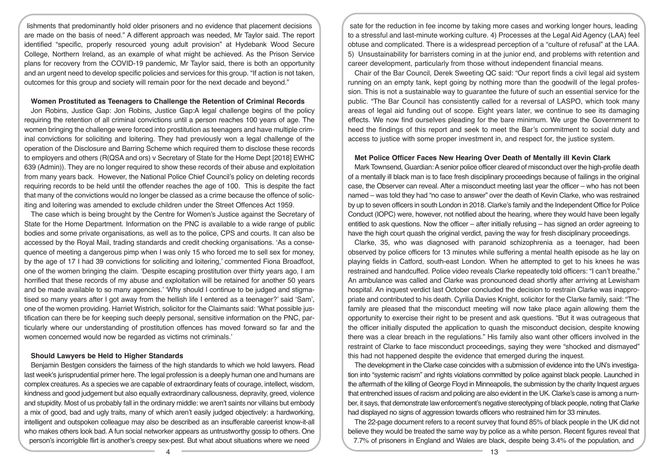lishments that predominantly hold older prisoners and no evidence that placement decisions are made on the basis of need." A different approach was needed, Mr Taylor said. The report identified "specific, properly resourced young adult provision" at Hydebank Wood Secure College, Northern Ireland, as an example of what might be achieved. As the Prison Service plans for recovery from the COVID-19 pandemic, Mr Taylor said, there is both an opportunity and an urgent need to develop specific policies and services for this group. "If action is not taken, outcomes for this group and society will remain poor for the next decade and beyond."

#### **Women Prostituted as Teenagers to Challenge the Retention of Criminal Records**

Jon Robins, Justice Gap: Jon Robins, Justice Gap:A legal challenge begins of the policy requiring the retention of all criminal convictions until a person reaches 100 years of age. The women bringing the challenge were forced into prostitution as teenagers and have multiple criminal convictions for soliciting and loitering. They had previously won a legal challenge of the operation of the Disclosure and Barring Scheme which required them to disclose these records to employers and others (R(QSA and ors) v Secretary of State for the Home Dept [2018] EWHC 639 (Admin)). They are no longer required to show these records of their abuse and exploitation from many years back. However, the National Police Chief Council's policy on deleting records requiring records to be held until the offender reaches the age of 100. This is despite the fact that many of the convictions would no longer be classed as a crime because the offence of soliciting and loitering was amended to exclude children under the Street Offences Act 1959.

The case which is being brought by the Centre for Women's Justice against the Secretary of State for the Home Department. Information on the PNC is available to a wide range of public bodies and some private organisations, as well as to the police, CPS and courts. It can also be accessed by the Royal Mail, trading standards and credit checking organisations. 'As a consequence of meeting a dangerous pimp when I was only 15 who forced me to sell sex for money, by the age of 17 I had 39 convictions for soliciting and loitering,' commented Fiona Broadfoot, one of the women bringing the claim. 'Despite escaping prostitution over thirty years ago, I am horrified that these records of my abuse and exploitation will be retained for another 50 years and be made available to so many agencies.' 'Why should I continue to be judged and stigmatised so many years after I got away from the hellish life I entered as a teenager?' said 'Sam', one of the women providing. Harriet Wistrich, solicitor for the Claimants said: 'What possible justification can there be for keeping such deeply personal, sensitive information on the PNC, particularly where our understanding of prostitution offences has moved forward so far and the women concerned would now be regarded as victims not criminals.'

# **Should Lawyers be Held to Higher Standards**

Benjamin Bestgen considers the fairness of the high standards to which we hold lawyers. Read last week's jurisprudential primer here. The legal profession is a deeply human one and humans are complex creatures. As a species we are capable of extraordinary feats of courage, intellect, wisdom, kindness and good judgement but also equally extraordinary callousness, depravity, greed, violence and stupidity. Most of us probably fall in the ordinary middle: we aren't saints nor villains but embody a mix of good, bad and ugly traits, many of which aren't easily judged objectively: a hardworking, intelligent and outspoken colleague may also be described as an insufferable careerist know-it-all who makes others look bad. A fun social networker appears as untrustworthy gossip to others. One person's incorrigible flirt is another's creepy sex-pest. But what about situations where we need

sate for the reduction in fee income by taking more cases and working longer hours, leading to a stressful and last-minute working culture. 4) Processes at the Legal Aid Agency (LAA) feel obtuse and complicated. There is a widespread perception of a "culture of refusal" at the LAA. 5) Unsustainability for barristers coming in at the junior end, and problems with retention and career development, particularly from those without independent financial means.

Chair of the Bar Council, Derek Sweeting QC said: "Our report finds a civil legal aid system running on an empty tank, kept going by nothing more than the goodwill of the legal profession. This is not a sustainable way to guarantee the future of such an essential service for the public. "The Bar Council has consistently called for a reversal of LASPO, which took many areas of legal aid funding out of scope. Eight years later, we continue to see its damaging effects. We now find ourselves pleading for the bare minimum. We urge the Government to heed the findings of this report and seek to meet the Bar's commitment to social duty and access to justice with some proper investment in, and respect for, the justice system.

#### **Met Police Officer Faces New Hearing Over Death of Mentally ill Kevin Clark**

Mark Townsend, Guardian: A senior police officer cleared of misconduct over the high-profile death of a mentally ill black man is to face fresh disciplinary proceedings because of failings in the original case, the Observer can reveal. After a misconduct meeting last year the officer – who has not been named – was told they had "no case to answer" over the death of Kevin Clarke, who was restrained by up to seven officers in south London in 2018. Clarke's family and the Independent Office for Police Conduct (IOPC) were, however, not notified about the hearing, where they would have been legally entitled to ask questions. Now the officer – after initially refusing – has signed an order agreeing to have the high court quash the original verdict, paving the way for fresh disciplinary proceedings.

Clarke, 35, who was diagnosed with paranoid schizophrenia as a teenager, had been observed by police officers for 13 minutes while suffering a mental health episode as he lay on playing fields in Catford, south-east London. When he attempted to get to his knees he was restrained and handcuffed. Police video reveals Clarke repeatedly told officers: "I can't breathe." An ambulance was called and Clarke was pronounced dead shortly after arriving at Lewisham hospital. An inquest verdict last October concluded the decision to restrain Clarke was inappropriate and contributed to his death. Cyrilia Davies Knight, solicitor for the Clarke family, said: "The family are pleased that the misconduct meeting will now take place again allowing them the opportunity to exercise their right to be present and ask questions. "But it was outrageous that the officer initially disputed the application to quash the misconduct decision, despite knowing there was a clear breach in the regulations." His family also want other officers involved in the restraint of Clarke to face misconduct proceedings, saying they were "shocked and dismayed" this had not happened despite the evidence that emerged during the inquest.

The development in the Clarke case coincides with a submission of evidence into the UN's investigation into "systemic racism" and rights violations committed by police against black people. Launched in the aftermath of the killing of George Floyd in Minneapolis, the submission by the charity Inquest argues that entrenched issues of racism and policing are also evident in the UK. Clarke's case is among a number, it says, that demonstrate law enforcement's negative stereotyping of black people, noting that Clarke had displayed no signs of aggression towards officers who restrained him for 33 minutes.

The 22-page document refers to a recent survey that found 85% of black people in the UK did not believe they would be treated the same way by police as a white person. Recent figures reveal that 7.7% of prisoners in England and Wales are black, despite being 3.4% of the population, and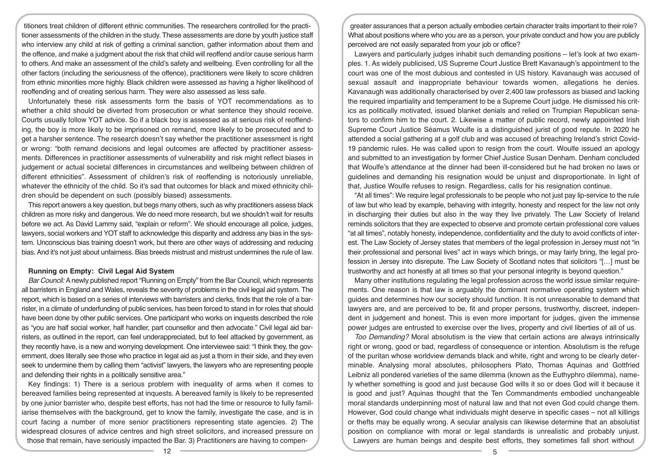titioners treat children of different ethnic communities. The researchers controlled for the practitioner assessments of the children in the study. These assessments are done by youth justice staff who interview any child at risk of getting a criminal sanction, gather information about them and the offence, and make a judgment about the risk that child will reoffend and/or cause serious harm to others. And make an assessment of the child's safety and wellbeing. Even controlling for all the other factors (including the seriousness of the offence), practitioners were likely to score children from ethnic minorities more highly. Black children were assessed as having a higher likelihood of reoffending and of creating serious harm. They were also assessed as less safe.

Unfortunately these risk assessments form the basis of YOT recommendations as to whether a child should be diverted from prosecution or what sentence they should receive. Courts usually follow YOT advice. So if a black boy is assessed as at serious risk of reoffending, the boy is more likely to be imprisoned on remand, more likely to be prosecuted and to get a harsher sentence. The research doesn't say whether the practitioner assessment is right or wrong: "both remand decisions and legal outcomes are affected by practitioner assessments. Differences in practitioner assessments of vulnerability and risk might reflect biases in judgement or actual societal differences in circumstances and wellbeing between children of different ethnicities". Assessment of children's risk of reoffending is notoriously unreliable, whatever the ethnicity of the child. So it's sad that outcomes for black and mixed ethnicity children should be dependent on such (possibly biased) assessments.

This report answers a key question, but begs many others, such as why practitioners assess black children as more risky and dangerous. We do need more research, but we shouldn't wait for results before we act. As David Lammy said, "explain or reform". We should encourage all police, judges, lawyers, social workers and YOT staff to acknowledge this disparity and address any bias in the system. Unconscious bias training doesn't work, but there are other ways of addressing and reducing bias. And it's not just about unfairness. Bias breeds mistrust and mistrust undermines the rule of law.

# **Running on Empty: Civil Legal Aid System**

*Bar Council:* A newly published report "Running on Empty" from the Bar Council, which represents all barristers in England and Wales, reveals the severity of problems in the civil legal aid system. The report, which is based on a series of interviews with barristers and clerks, finds that the role of a barrister, in a climate of underfunding of public services, has been forced to stand in for roles that should have been done by other public services. One participant who works on inquests described the role as "you are half social worker, half handler, part counsellor and then advocate." Civil legal aid barristers, as outlined in the report, can feel underappreciated, but to feel attacked by government, as they recently have, is a new and worrying development. One interviewee said: "I think they, the government, does literally see those who practice in legal aid as just a thorn in their side, and they even seek to undermine them by calling them "activist" lawyers, the lawyers who are representing people and defending their rights in a politically sensitive area."

Key findings: 1) There is a serious problem with inequality of arms when it comes to bereaved families being represented at inquests. A bereaved family is likely to be represented by one junior barrister who, despite best efforts, has not had the time or resource to fully familiarise themselves with the background, get to know the family, investigate the case, and is in court facing a number of more senior practitioners representing state agencies. 2) The widespread closures of advice centres and high street solicitors, and increased pressure on those that remain, have seriously impacted the Bar. 3) Practitioners are having to compen-

greater assurances that a person actually embodies certain character traits important to their role? What about positions where who you are as a person, your private conduct and how you are publicly perceived are not easily separated from your job or office?

Lawyers and particularly judges inhabit such demanding positions – let's look at two examples. 1. As widely publicised, US Supreme Court Justice Brett Kavanaugh's appointment to the court was one of the most dubious and contested in US history. Kavanaugh was accused of sexual assault and inappropriate behaviour towards women, allegations he denies. Kavanaugh was additionally characterised by over 2,400 law professors as biased and lacking the required impartiality and temperament to be a Supreme Court judge. He dismissed his critics as politically motivated, issued blanket denials and relied on Trumpian Republican senators to confirm him to the court. 2. Likewise a matter of public record, newly appointed Irish Supreme Court Justice Séamus Woulfe is a distinguished jurist of good repute. In 2020 he attended a social gathering at a golf club and was accused of breaching Ireland's strict Covid-19 pandemic rules. He was called upon to resign from the court. Woulfe issued an apology and submitted to an investigation by former Chief Justice Susan Denham. Denham concluded that Woulfe's attendance at the dinner had been ill-considered but he had broken no laws or guidelines and demanding his resignation would be unjust and disproportionate. In light of that, Justice Woulfe refuses to resign. Regardless, calls for his resignation continue.

"At all times": We require legal professionals to be people who not just pay lip-service to the rule of law but who lead by example, behaving with integrity, honesty and respect for the law not only in discharging their duties but also in the way they live privately. The Law Society of Ireland reminds solicitors that they are expected to observe and promote certain professional core values "at all times", notably honesty, independence, confidentiality and the duty to avoid conflicts of interest. The Law Society of Jersey states that members of the legal profession in Jersey must not "in their professional and personal lives" act in ways which brings, or may fairly bring, the legal profession in Jersey into disrepute. The Law Society of Scotland notes that solicitors "[…] must be trustworthy and act honestly at all times so that your personal integrity is beyond question."

Many other institutions regulating the legal profession across the world issue similar requirements. One reason is that law is arguably the dominant normative operating system which guides and determines how our society should function. It is not unreasonable to demand that lawyers are, and are perceived to be, fit and proper persons, trustworthy, discreet, independent in judgement and honest. This is even more important for judges, given the immense power judges are entrusted to exercise over the lives, property and civil liberties of all of us.

*Too Demanding?* Moral absolutism is the view that certain actions are always intrinsically right or wrong, good or bad, regardless of consequence or intention. Absolutism is the refuge of the puritan whose worldview demands black and white, right and wrong to be clearly determinable. Analysing moral absolutes, philosophers Plato, Thomas Aquinas and Gottfried Leibniz all pondered varieties of the same dilemma (known as the Euthyphro dilemma), namely whether something is good and just because God wills it so or does God will it because it is good and just? Aquinas thought that the Ten Commandments embodied unchangeable moral standards underpinning most of natural law and that not even God could change them. However, God could change what individuals might deserve in specific cases – not all killings or thefts may be equally wrong. A secular analysis can likewise determine that an absolutist position on compliance with moral or legal standards is unrealistic and probably unjust. Lawyers are human beings and despite best efforts, they sometimes fall short without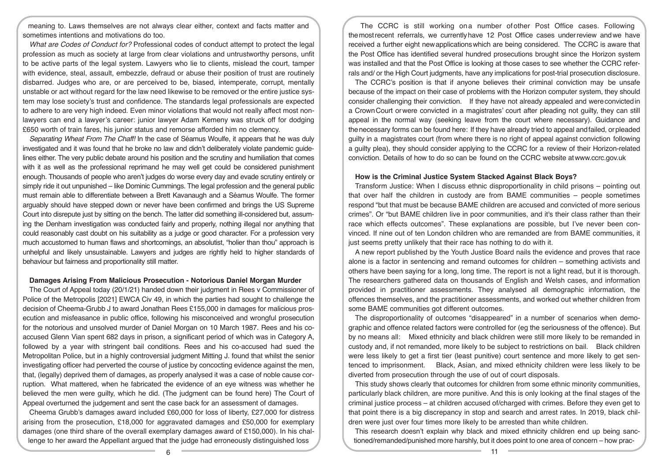meaning to. Laws themselves are not always clear either, context and facts matter and sometimes intentions and motivations do too.

*What are Codes of Conduct for?* Professional codes of conduct attempt to protect the legal profession as much as society at large from clear violations and untrustworthy persons, unfit to be active parts of the legal system. Lawyers who lie to clients, mislead the court, tamper with evidence, steal, assault, embezzle, defraud or abuse their position of trust are routinely disbarred. Judges who are, or are perceived to be, biased, intemperate, corrupt, mentally unstable or act without regard for the law need likewise to be removed or the entire justice system may lose society's trust and confidence. The standards legal professionals are expected to adhere to are very high indeed. Even minor violations that would not really affect most nonlawyers can end a lawyer's career: junior lawyer Adam Kemeny was struck off for dodging £650 worth of train fares, his junior status and remorse afforded him no clemency.

*Separating Wheat From The Chaff!* In the case of Séamus Woulfe, it appears that he was duly investigated and it was found that he broke no law and didn't deliberately violate pandemic guidelines either. The very public debate around his position and the scrutiny and humiliation that comes with it as well as the professional reprimand he may well get could be considered punishment enough. Thousands of people who aren't judges do worse every day and evade scrutiny entirely or simply ride it out unpunished – like Dominic Cummings. The legal profession and the general public must remain able to differentiate between a Brett Kavanaugh and a Séamus Woulfe. The former arguably should have stepped down or never have been confirmed and brings the US Supreme Court into disrepute just by sitting on the bench. The latter did something ill-considered but, assuming the Denham investigation was conducted fairly and properly, nothing illegal nor anything that could reasonably cast doubt on his suitability as a judge or good character. For a profession very much accustomed to human flaws and shortcomings, an absolutist, "holier than thou" approach is unhelpful and likely unsustainable. Lawyers and judges are rightly held to higher standards of behaviour but fairness and proportionality still matter.

#### **Damages Arising From Malicious Prosecution - Notorious Daniel Morgan Murder**

The Court of Appeal today (20/1/21) handed down their judgment in Rees v Commissioner of Police of the Metropolis [2021] EWCA Civ 49, in which the parties had sought to challenge the decision of Cheema-Grubb J to award Jonathan Rees £155,000 in damages for malicious prosecution and misfeasance in public office, following his misconceived and wrongful prosecution for the notorious and unsolved murder of Daniel Morgan on 10 March 1987. Rees and his coaccused Glenn Vian spent 682 days in prison, a significant period of which was in Category A, followed by a year with stringent bail conditions. Rees and his co-accused had sued the Metropolitan Police, but in a highly controversial judgment Mitting J. found that whilst the senior investigating officer had perverted the course of justice by concocting evidence against the men, that, (legally) deprived them of damages, as properly analysed it was a case of noble cause corruption. What mattered, when he fabricated the evidence of an eye witness was whether he believed the men were guilty, which he did. (The judgment can be found here) The Court of Appeal overturned the judgement and sent the case back for an assessment of damages.

Cheema Grubb's damages award included £60,000 for loss of liberty, £27,000 for distress arising from the prosecution, £18,000 for aggravated damages and £50,000 for exemplary damages (one third share of the overall exemplary damages award of £150,000). In his challenge to her award the Appellant argued that the judge had erroneously distinguished loss

The CCRC is still working on a number of other Post Office cases. Following themostrecent referrals, we currentlyhave 12 Post Office cases underreview andwe have received a further eight newapplicationswhich are being considered. The CCRC is aware that the Post Office has identified several hundred prosecutions brought since the Horizon system was installed and that the Post Office is looking at those cases to see whether the CCRC referrals and/ or the High Court judgments, have any implications for post-trial prosecution disclosure.

The CCRC's position is that if anyone believes their criminal conviction may be unsafe because of the impact on their case of problems with the Horizon computer system, they should consider challenging their conviction. If they have not already appealed and wereconvictedin a CrownCourt orwere convicted in a magistrates' court after pleading not guilty, they can still appeal in the normal way (seeking leave from the court where necessary). Guidance and thenecessary forms can be found here: If they have already tried to appeal andfailed, orpleaded guilty in a magistrates court (from where there is no right of appeal against conviction following a guilty plea), they should consider applying to the CCRC for a review of their Horizon-related conviction. Details of how to do so can be found on the CCRC website atwww.ccrc.gov.uk

#### **How is the Criminal Justice System Stacked Against Black Boys?**

Transform Justice: When I discuss ethnic disproportionality in child prisons – pointing out that over half the children in custody are from BAME communities – people sometimes respond "but that must be because BAME children are accused and convicted of more serious crimes". Or "but BAME children live in poor communities, and it's their class rather than their race which effects outcomes". These explanations are possible, but I've never been convinced. If nine out of ten London children who are remanded are from BAME communities, it just seems pretty unlikely that their race has nothing to do with it.

A new report published by the Youth Justice Board nails the evidence and proves that race alone is a factor in sentencing and remand outcomes for children – something activists and others have been saying for a long, long time. The report is not a light read, but it is thorough. The researchers gathered data on thousands of English and Welsh cases, and information provided in practitioner assessments. They analysed all demographic information, the offences themselves, and the practitioner assessments, and worked out whether children from some BAME communities got different outcomes.

The disproportionality of outcomes "disappeared" in a number of scenarios when demographic and offence related factors were controlled for (eg the seriousness of the offence). But by no means all: Mixed ethnicity and black children were still more likely to be remanded in custody and, if not remanded, more likely to be subject to restrictions on bail. Black children were less likely to get a first tier (least punitive) court sentence and more likely to get sentenced to imprisonment. Black, Asian, and mixed ethnicity children were less likely to be diverted from prosecution through the use of out of court disposals.

This study shows clearly that outcomes for children from some ethnic minority communities, particularly black children, are more punitive. And this is only looking at the final stages of the criminal justice process – at children accused of/charged with crimes. Before they even get to that point there is a big discrepancy in stop and search and arrest rates. In 2019, black children were just over four times more likely to be arrested than white children.

This research doesn't explain why black and mixed ethnicity children end up being sanctioned/remanded/punished more harshly, but it does point to one area of concern – how prac-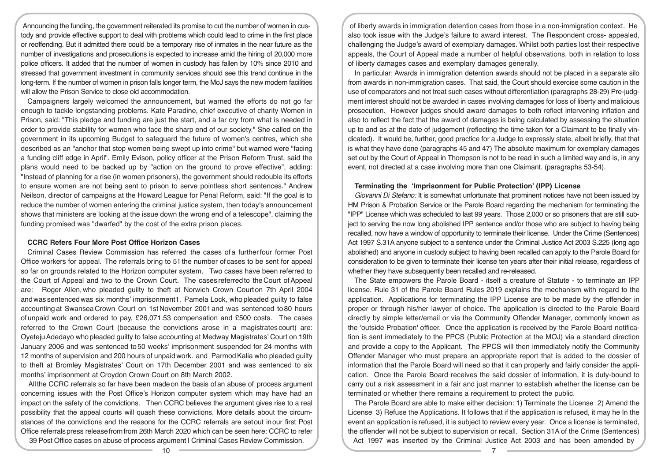Announcing the funding, the government reiterated its promise to cut the number of women in custody and provide effective support to deal with problems which could lead to crime in the first place or reoffending. But it admitted there could be a temporary rise of inmates in the near future as the number of investigations and prosecutions is expected to increase amid the hiring of 20,000 more police officers. It added that the number of women in custody has fallen by 10% since 2010 and stressed that government investment in community services should see this trend continue in the long-term. If the number of women in prison falls longer term, the MoJ says the new modern facilities will allow the Prison Service to close old accommodation.

Campaigners largely welcomed the announcement, but warned the efforts do not go far enough to tackle longstanding problems. Kate Paradine, chief executive of charity Women in Prison, said: "This pledge and funding are just the start, and a far cry from what is needed in order to provide stability for women who face the sharp end of our society." She called on the government in its upcoming Budget to safeguard the future of women's centres, which she described as an "anchor that stop women being swept up into crime" but warned were "facing a funding cliff edge in April". Emily Evison, policy officer at the Prison Reform Trust, said the plans would need to be backed up by "action on the ground to prove effective", adding: "Instead of planning for a rise (in women prisoners), the government should redouble its efforts to ensure women are not being sent to prison to serve pointless short sentences." Andrew Neilson, director of campaigns at the Howard League for Penal Reform, said: "If the goal is to reduce the number of women entering the criminal justice system, then today's announcement shows that ministers are looking at the issue down the wrong end of a telescope", claiming the funding promised was "dwarfed" by the cost of the extra prison places.

# **CCRC Refers Four More Post Office Horizon Cases**

Criminal Cases Review Commission has referred the cases of a furtherfour former Post Office workers for appeal. The referrals bring to 51 the number of cases to be sent for appeal so far on grounds related to the Horizon computer system. Two cases have been referred to the Court of Appeal and two to the Crown Court. The cases referred to the Court of Appeal are: Roger Allen, who pleaded quilty to theft at Norwich Crown Courton 7th April 2004 andwas sentencedwas six months' imprisonment1. Pamela Lock, who pleaded guilty to false accounting at SwanseaCrown Court on 1stNovember 2001 and was sentenced to 80 hours of unpaid work and ordered to pay, £26,071.53 compensation and £500 costs.     The cases referred to the Crown Court (because the convictions arose in a magistrates court) are: OyetejuAdedayo who pleaded guilty to false accounting at Medway Magistrates' Court on 19th January 2006 and was sentenced to 50 weeks' imprisonment suspended for 24 months with 12 months of supervision and 200 hours of unpaid work. and Parmod Kalia who pleaded guilty to theft at Bromley Magistrates' Court on 17th December 2001 and was sentenced to six months' imprisonment at Croydon Crown Court on 8th March 2002.

Allthe CCRC referrals so far have been madeon the basis ofan abuse of process argument concerning issues with the Post Office's Horizon computer system which may have had an impact on the safety of the convictions. Then CCRC believes the argument gives rise to a real possibility that the appeal courts will quash these convictions. More details about the circumstances of the convictions and the reasons for the CCRC referrals are setout inour first Post Office referrals press release from from 26th March 2020 which can be seen here: CCRC to refer 39 Post Office cases on abuse of process argument | Criminal Cases Review Commission.

of liberty awards in immigration detention cases from those in a non-immigration context. He also took issue with the Judge's failure to award interest. The Respondent cross- appealed, challenging the Judge's award of exemplary damages. Whilst both parties lost their respective appeals, the Court of Appeal made a number of helpful observations, both in relation to loss of liberty damages cases and exemplary damages generally.

In particular: Awards in immigration detention awards should not be placed in a separate silo from awards in non-immigration cases. That said, the Court should exercise some caution in the use of comparators and not treat such cases without differentiation (paragraphs 28-29) Pre-judgment interest should not be awarded in cases involving damages for loss of liberty and malicious prosecution. However judges should award damages to both reflect intervening inflation and also to reflect the fact that the award of damages is being calculated by assessing the situation up to and as at the date of judgement (reflecting the time taken for a Claimant to be finally vindicated). It would be, further, good practice for a Judge to expressly state, albeit briefly, that that is what they have done (paragraphs 45 and 47) The absolute maximum for exemplary damages set out by the Court of Appeal in Thompson is not to be read in such a limited way and is, in any event, not directed at a case involving more than one Claimant. (paragraphs 53-54).

# **Terminating the 'Imprisonment for Public Protection' (IPP) License**

*Giovanni Di Stefano:* It is somewhat unfortunate that prominent notices have not been issued by HM Prison & Probation Service or the Parole Board regarding the mechanism for terminating the "IPP" License which was scheduled to last 99 years. Those 2,000 or so prisoners that are still subject to serving the now long abolished IPP sentence and/or those who are subject to having being recalled, now have a window of opportunity to terminate their license. Under the Crime (Sentences) Act 1997 S.31A anyone subject to a sentence under the Criminal Justice Act 2003 S.225 (long ago abolished) and anyone in custody subject to having been recalled can apply to the Parole Board for consideration to be given to terminate their license ten years after their initial release, regardless of whether they have subsequently been recalled and re-released.

The State empowers the Parole Board - itself a creature of Statute - to terminate an IPP license. Rule 31 of the Parole Board Rules 2019 explains the mechanism with regard to the application. Applications for terminating the IPP License are to be made by the offender in proper or through his/her lawyer of choice. The application is directed to the Parole Board directly by simple letter/email or via the Community Offender Manager, commonly known as the 'outside Probation' officer. Once the application is received by the Parole Board notification is sent immediately to the PPCS (Public Protection at the MOJ) via a standard direction and provide a copy to the Applicant. The PPCS will then immediately notify the Community Offender Manager who must prepare an appropriate report that is added to the dossier of information that the Parole Board will need so that it can properly and fairly consider the application. Once the Parole Board receives the said dossier of information, it is duty-bound to carry out a risk assessment in a fair and just manner to establish whether the license can be terminated or whether there remains a requirement to protect the public.

The Parole Board are able to make either decision: 1) Terminate the License 2) Amend the License 3) Refuse the Applications. It follows that if the application is refused, it may he In the event an application is refused, it is subject to review every year. Once a license is terminated, the offender will not be subject to supervision or recall. Section 31A of the Crime (Sentences) Act 1997 was inserted by the Criminal Justice Act 2003 and has been amended by